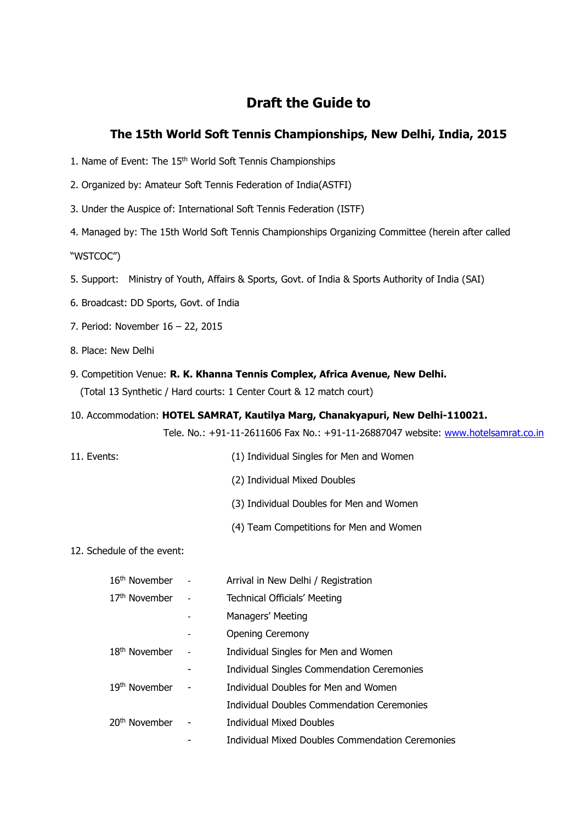# **Draft the Guide to**

## **The 15th World Soft Tennis Championships, New Delhi, India, 2015**

- 1. Name of Event: The 15<sup>th</sup> World Soft Tennis Championships
- 2. Organized by: Amateur Soft Tennis Federation of India(ASTFI)
- 3. Under the Auspice of: International Soft Tennis Federation (ISTF)

4. Managed by: The 15th World Soft Tennis Championships Organizing Committee (herein after called "WSTCOC")

- 5. Support: Ministry of Youth, Affairs & Sports, Govt. of India & Sports Authority of India (SAI)
- 6. Broadcast: DD Sports, Govt. of India
- 7. Period: November 16 22, 2015
- 8. Place: New Delhi
- 9. Competition Venue: **R. K. Khanna Tennis Complex, Africa Avenue, New Delhi.** (Total 13 Synthetic / Hard courts: 1 Center Court & 12 match court)
- 10. Accommodation: **HOTEL SAMRAT, Kautilya Marg, Chanakyapuri, New Delhi-110021.**

Tele. No.: +91-11-2611606 Fax No.: +91-11-26887047 website: [www.hotelsamrat.co.in](http://www.hotelsamrat.co.in/)

- 11. Events: (1) Individual Singles for Men and Women
	- (2) Individual Mixed Doubles
	- (3) Individual Doubles for Men and Women
	- (4) Team Competitions for Men and Women

## 12. Schedule of the event:

| 16 <sup>th</sup> November | Arrival in New Delhi / Registration               |
|---------------------------|---------------------------------------------------|
| 17 <sup>th</sup> November | <b>Technical Officials' Meeting</b>               |
|                           | Managers' Meeting                                 |
|                           | <b>Opening Ceremony</b>                           |
| 18 <sup>th</sup> November | Individual Singles for Men and Women              |
|                           | <b>Individual Singles Commendation Ceremonies</b> |
| 19 <sup>th</sup> November | Individual Doubles for Men and Women              |
|                           | Individual Doubles Commendation Ceremonies        |
| 20 <sup>th</sup> November | <b>Individual Mixed Doubles</b>                   |
|                           | Individual Mixed Doubles Commendation Ceremonies  |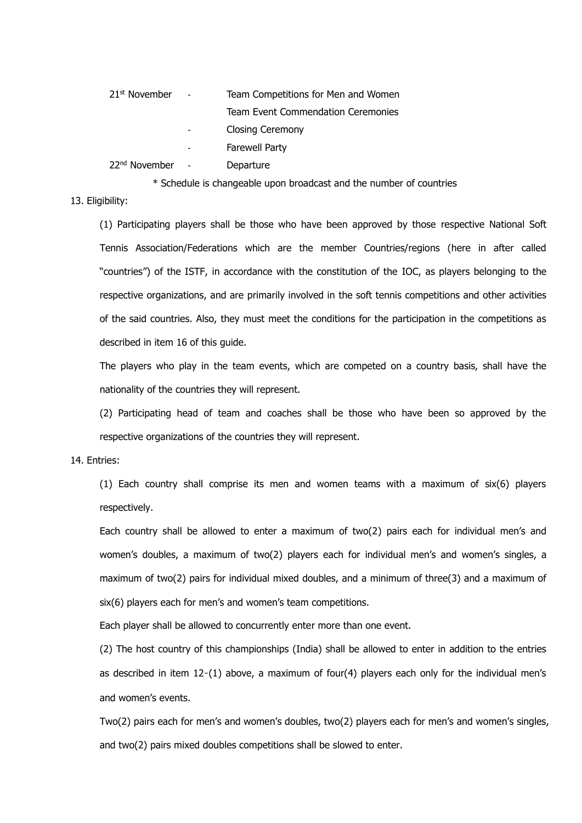| 21 <sup>st</sup> November | Team Competitions for Men and Women |
|---------------------------|-------------------------------------|
|                           | Team Event Commendation Ceremonies  |
|                           | <b>Closing Ceremony</b>             |
|                           | <b>Farewell Party</b>               |
| 22 <sup>nd</sup> November | Departure                           |
|                           |                                     |

\* Schedule is changeable upon broadcast and the number of countries

## 13. Eligibility:

(1) Participating players shall be those who have been approved by those respective National Soft Tennis Association/Federations which are the member Countries/regions (here in after called "countries") of the ISTF, in accordance with the constitution of the IOC, as players belonging to the respective organizations, and are primarily involved in the soft tennis competitions and other activities of the said countries. Also, they must meet the conditions for the participation in the competitions as described in item 16 of this guide.

The players who play in the team events, which are competed on a country basis, shall have the nationality of the countries they will represent.

(2) Participating head of team and coaches shall be those who have been so approved by the respective organizations of the countries they will represent.

#### 14. Entries:

(1) Each country shall comprise its men and women teams with a maximum of six(6) players respectively.

Each country shall be allowed to enter a maximum of two(2) pairs each for individual men's and women's doubles, a maximum of two(2) players each for individual men's and women's singles, a maximum of two(2) pairs for individual mixed doubles, and a minimum of three(3) and a maximum of six(6) players each for men's and women's team competitions.

Each player shall be allowed to concurrently enter more than one event.

(2) The host country of this championships (India) shall be allowed to enter in addition to the entries as described in item 12-(1) above, a maximum of four(4) players each only for the individual men's and women's events.

Two(2) pairs each for men's and women's doubles, two(2) players each for men's and women's singles, and two(2) pairs mixed doubles competitions shall be slowed to enter.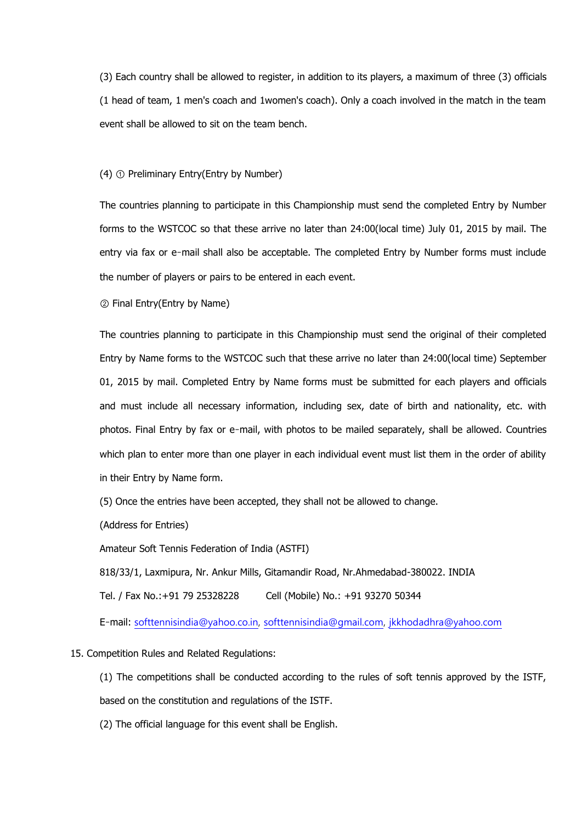(3) Each country shall be allowed to register, in addition to its players, a maximum of three (3) officials (1 head of team, 1 men's coach and 1women's coach). Only a coach involved in the match in the team event shall be allowed to sit on the team bench.

#### (4) ① Preliminary Entry(Entry by Number)

The countries planning to participate in this Championship must send the completed Entry by Number forms to the WSTCOC so that these arrive no later than 24:00(local time) July 01, 2015 by mail. The entry via fax or e-mail shall also be acceptable. The completed Entry by Number forms must include the number of players or pairs to be entered in each event.

② Final Entry(Entry by Name)

The countries planning to participate in this Championship must send the original of their completed Entry by Name forms to the WSTCOC such that these arrive no later than 24:00(local time) September 01, 2015 by mail. Completed Entry by Name forms must be submitted for each players and officials and must include all necessary information, including sex, date of birth and nationality, etc. with photos. Final Entry by fax or e‐mail, with photos to be mailed separately, shall be allowed. Countries which plan to enter more than one player in each individual event must list them in the order of ability in their Entry by Name form.

(5) Once the entries have been accepted, they shall not be allowed to change.

(Address for Entries)

Amateur Soft Tennis Federation of India (ASTFI)

818/33/1, Laxmipura, Nr. Ankur Mills, Gitamandir Road, Nr.Ahmedabad-380022. INDIA

Tel. / Fax No.:+91 79 25328228 Cell (Mobile) No.: +91 93270 50344

E‐mail: [softtennisindia@yahoo.co.in,](mailto:softtennisindia@yahoo.co.in) [softtennisindia@gmail.com,](mailto:softtennisindia@gmail.com) [jkkhodadhra@yahoo.com](mailto:jkkhodadhra@yahoo.com)

#### 15. Competition Rules and Related Regulations:

(1) The competitions shall be conducted according to the rules of soft tennis approved by the ISTF, based on the constitution and regulations of the ISTF.

(2) The official language for this event shall be English.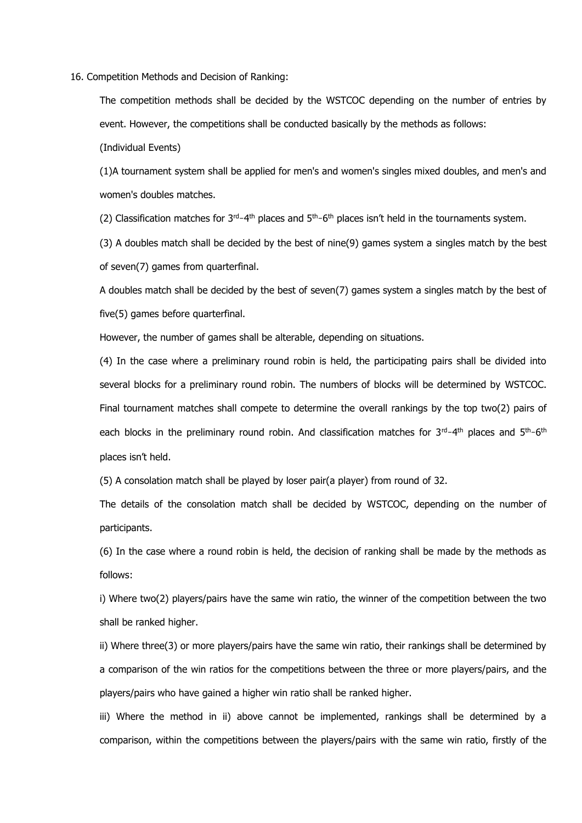16. Competition Methods and Decision of Ranking:

The competition methods shall be decided by the WSTCOC depending on the number of entries by event. However, the competitions shall be conducted basically by the methods as follows:

(Individual Events)

(1)A tournament system shall be applied for men's and women's singles mixed doubles, and men's and women's doubles matches.

(2) Classification matches for  $3<sup>rd</sup>-4<sup>th</sup>$  places and  $5<sup>th</sup>-6<sup>th</sup>$  places isn't held in the tournaments system.

(3) A doubles match shall be decided by the best of nine(9) games system a singles match by the best of seven(7) games from quarterfinal.

A doubles match shall be decided by the best of seven(7) games system a singles match by the best of five(5) games before quarterfinal.

However, the number of games shall be alterable, depending on situations.

(4) In the case where a preliminary round robin is held, the participating pairs shall be divided into several blocks for a preliminary round robin. The numbers of blocks will be determined by WSTCOC. Final tournament matches shall compete to determine the overall rankings by the top two(2) pairs of each blocks in the preliminary round robin. And classification matches for 3<sup>rd</sup>-4<sup>th</sup> places and 5<sup>th</sup>-6<sup>th</sup> places isn't held.

(5) A consolation match shall be played by loser pair(a player) from round of 32.

The details of the consolation match shall be decided by WSTCOC, depending on the number of participants.

(6) In the case where a round robin is held, the decision of ranking shall be made by the methods as follows:

i) Where two(2) players/pairs have the same win ratio, the winner of the competition between the two shall be ranked higher.

ii) Where three(3) or more players/pairs have the same win ratio, their rankings shall be determined by a comparison of the win ratios for the competitions between the three or more players/pairs, and the players/pairs who have gained a higher win ratio shall be ranked higher.

iii) Where the method in ii) above cannot be implemented, rankings shall be determined by a comparison, within the competitions between the players/pairs with the same win ratio, firstly of the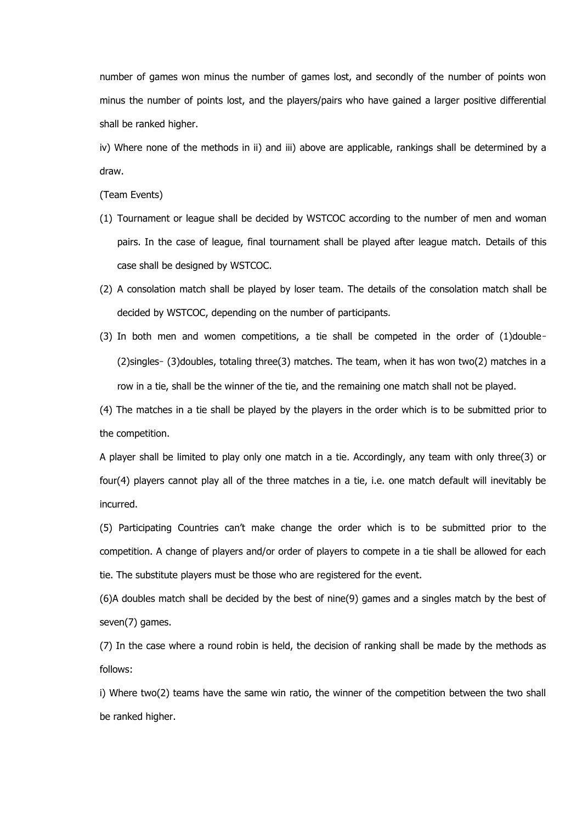number of games won minus the number of games lost, and secondly of the number of points won minus the number of points lost, and the players/pairs who have gained a larger positive differential shall be ranked higher.

iv) Where none of the methods in ii) and iii) above are applicable, rankings shall be determined by a draw.

(Team Events)

- (1) Tournament or league shall be decided by WSTCOC according to the number of men and woman pairs. In the case of league, final tournament shall be played after league match. Details of this case shall be designed by WSTCOC.
- (2) A consolation match shall be played by loser team. The details of the consolation match shall be decided by WSTCOC, depending on the number of participants.
- (3) In both men and women competitions, a tie shall be competed in the order of (1)double‐ (2)singles‐ (3)doubles, totaling three(3) matches. The team, when it has won two(2) matches in a row in a tie, shall be the winner of the tie, and the remaining one match shall not be played.

(4) The matches in a tie shall be played by the players in the order which is to be submitted prior to the competition.

A player shall be limited to play only one match in a tie. Accordingly, any team with only three(3) or four(4) players cannot play all of the three matches in a tie, i.e. one match default will inevitably be incurred.

(5) Participating Countries can't make change the order which is to be submitted prior to the competition. A change of players and/or order of players to compete in a tie shall be allowed for each tie. The substitute players must be those who are registered for the event.

(6)A doubles match shall be decided by the best of nine(9) games and a singles match by the best of seven(7) games.

(7) In the case where a round robin is held, the decision of ranking shall be made by the methods as follows:

i) Where two(2) teams have the same win ratio, the winner of the competition between the two shall be ranked higher.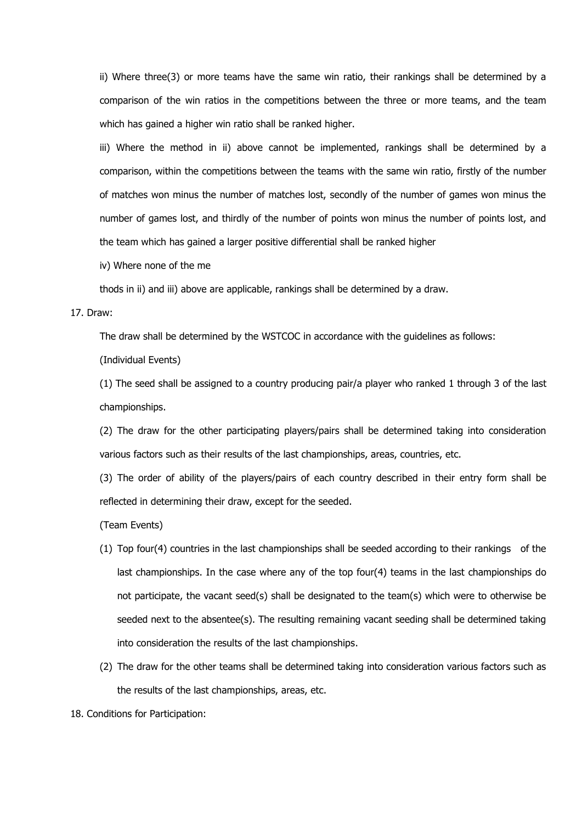ii) Where three(3) or more teams have the same win ratio, their rankings shall be determined by a comparison of the win ratios in the competitions between the three or more teams, and the team which has gained a higher win ratio shall be ranked higher.

iii) Where the method in ii) above cannot be implemented, rankings shall be determined by a comparison, within the competitions between the teams with the same win ratio, firstly of the number of matches won minus the number of matches lost, secondly of the number of games won minus the number of games lost, and thirdly of the number of points won minus the number of points lost, and the team which has gained a larger positive differential shall be ranked higher

iv) Where none of the me

thods in ii) and iii) above are applicable, rankings shall be determined by a draw.

#### 17. Draw:

The draw shall be determined by the WSTCOC in accordance with the guidelines as follows:

(Individual Events)

(1) The seed shall be assigned to a country producing pair/a player who ranked 1 through 3 of the last championships.

(2) The draw for the other participating players/pairs shall be determined taking into consideration various factors such as their results of the last championships, areas, countries, etc.

(3) The order of ability of the players/pairs of each country described in their entry form shall be reflected in determining their draw, except for the seeded.

(Team Events)

- (1) Top four(4) countries in the last championships shall be seeded according to their rankings of the last championships. In the case where any of the top four(4) teams in the last championships do not participate, the vacant seed(s) shall be designated to the team(s) which were to otherwise be seeded next to the absentee(s). The resulting remaining vacant seeding shall be determined taking into consideration the results of the last championships.
- (2) The draw for the other teams shall be determined taking into consideration various factors such as the results of the last championships, areas, etc.

18. Conditions for Participation: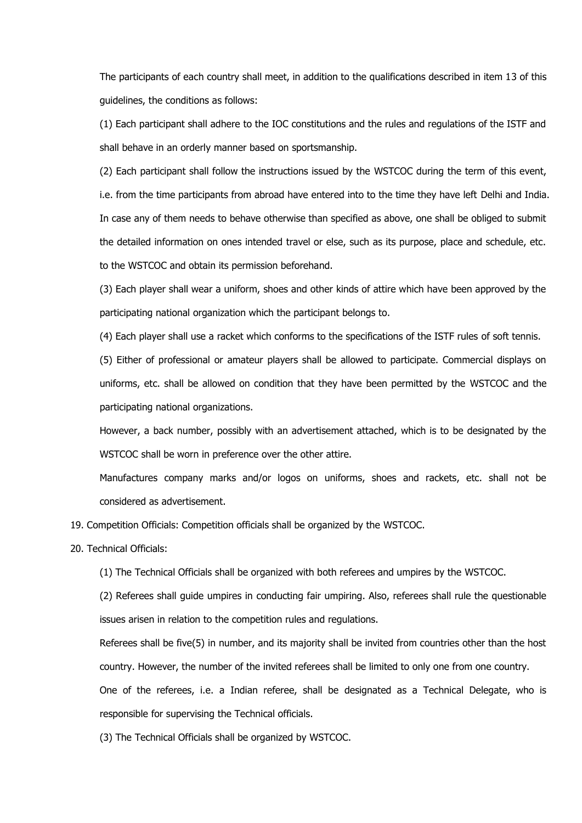The participants of each country shall meet, in addition to the qualifications described in item 13 of this guidelines, the conditions as follows:

(1) Each participant shall adhere to the IOC constitutions and the rules and regulations of the ISTF and shall behave in an orderly manner based on sportsmanship.

(2) Each participant shall follow the instructions issued by the WSTCOC during the term of this event, i.e. from the time participants from abroad have entered into to the time they have left Delhi and India. In case any of them needs to behave otherwise than specified as above, one shall be obliged to submit the detailed information on ones intended travel or else, such as its purpose, place and schedule, etc. to the WSTCOC and obtain its permission beforehand.

(3) Each player shall wear a uniform, shoes and other kinds of attire which have been approved by the participating national organization which the participant belongs to.

(4) Each player shall use a racket which conforms to the specifications of the ISTF rules of soft tennis.

(5) Either of professional or amateur players shall be allowed to participate. Commercial displays on uniforms, etc. shall be allowed on condition that they have been permitted by the WSTCOC and the participating national organizations.

However, a back number, possibly with an advertisement attached, which is to be designated by the WSTCOC shall be worn in preference over the other attire.

Manufactures company marks and/or logos on uniforms, shoes and rackets, etc. shall not be considered as advertisement.

19. Competition Officials: Competition officials shall be organized by the WSTCOC.

#### 20. Technical Officials:

(1) The Technical Officials shall be organized with both referees and umpires by the WSTCOC.

(2) Referees shall guide umpires in conducting fair umpiring. Also, referees shall rule the questionable issues arisen in relation to the competition rules and regulations.

Referees shall be five(5) in number, and its majority shall be invited from countries other than the host country. However, the number of the invited referees shall be limited to only one from one country.

One of the referees, i.e. a Indian referee, shall be designated as a Technical Delegate, who is responsible for supervising the Technical officials.

(3) The Technical Officials shall be organized by WSTCOC.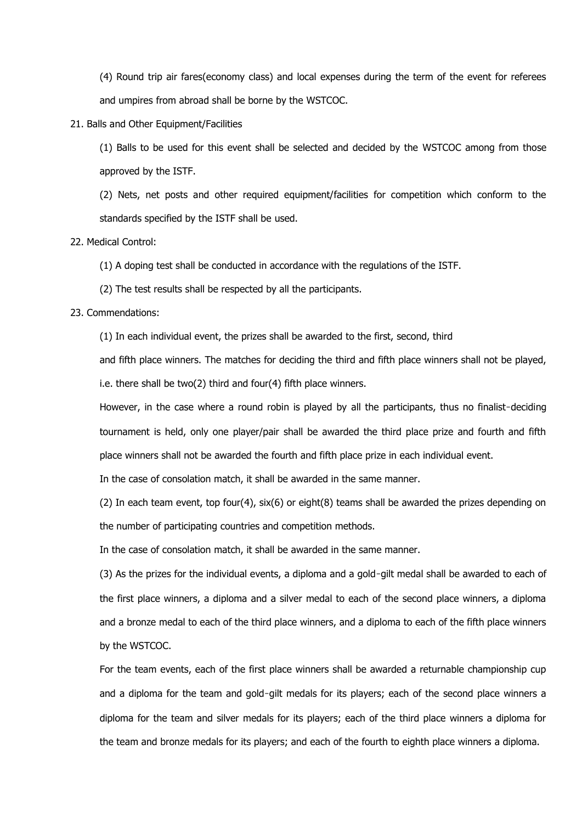(4) Round trip air fares(economy class) and local expenses during the term of the event for referees and umpires from abroad shall be borne by the WSTCOC.

21. Balls and Other Equipment/Facilities

(1) Balls to be used for this event shall be selected and decided by the WSTCOC among from those approved by the ISTF.

(2) Nets, net posts and other required equipment/facilities for competition which conform to the standards specified by the ISTF shall be used.

22. Medical Control:

(1) A doping test shall be conducted in accordance with the regulations of the ISTF.

(2) The test results shall be respected by all the participants.

23. Commendations:

(1) In each individual event, the prizes shall be awarded to the first, second, third

and fifth place winners. The matches for deciding the third and fifth place winners shall not be played, i.e. there shall be two(2) third and four(4) fifth place winners.

However, in the case where a round robin is played by all the participants, thus no finalist-deciding tournament is held, only one player/pair shall be awarded the third place prize and fourth and fifth place winners shall not be awarded the fourth and fifth place prize in each individual event.

In the case of consolation match, it shall be awarded in the same manner.

(2) In each team event, top four(4), six(6) or eight(8) teams shall be awarded the prizes depending on the number of participating countries and competition methods.

In the case of consolation match, it shall be awarded in the same manner.

(3) As the prizes for the individual events, a diploma and a gold‐gilt medal shall be awarded to each of the first place winners, a diploma and a silver medal to each of the second place winners, a diploma and a bronze medal to each of the third place winners, and a diploma to each of the fifth place winners by the WSTCOC.

For the team events, each of the first place winners shall be awarded a returnable championship cup and a diploma for the team and gold-gilt medals for its players; each of the second place winners a diploma for the team and silver medals for its players; each of the third place winners a diploma for the team and bronze medals for its players; and each of the fourth to eighth place winners a diploma.